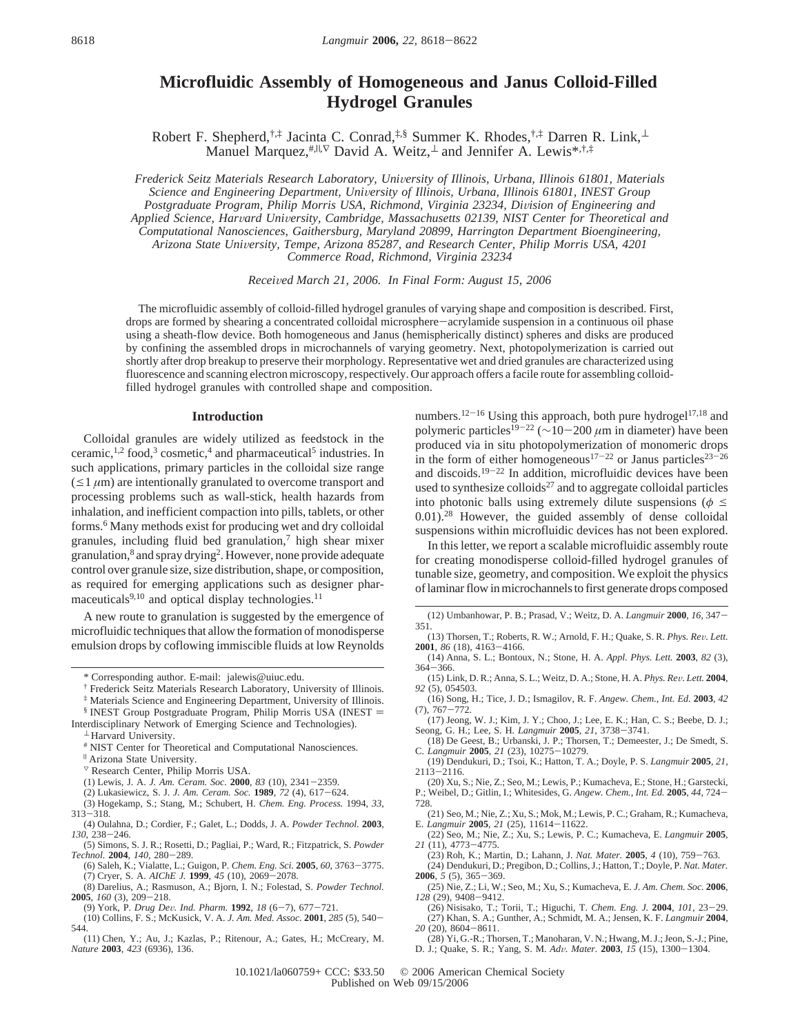# **Microfluidic Assembly of Homogeneous and Janus Colloid-Filled Hydrogel Granules**

Robert F. Shepherd,<sup>†,‡</sup> Jacinta C. Conrad,<sup>‡,§</sup> Summer K. Rhodes,<sup>†,‡</sup> Darren R. Link,<sup>⊥</sup> Manuel Marquez,<sup>#,||,∇</sup> David A. Weitz,⊥ and Jennifer A. Lewis<sup>\*,†,‡</sup>

*Frederick Seitz Materials Research Laboratory, Uni*V*ersity of Illinois, Urbana, Illinois 61801, Materials Science and Engineering Department, Uni*V*ersity of Illinois, Urbana, Illinois 61801, INEST Group* Postgraduate Program, Philip Morris USA, Richmond, Virginia 23234, Division of Engineering and *Applied Science, Har*V*ard Uni*V*ersity, Cambridge, Massachusetts 02139, NIST Center for Theoretical and Computational Nanosciences, Gaithersburg, Maryland 20899, Harrington Department Bioengineering, Arizona State Uni*V*ersity, Tempe, Arizona 85287, and Research Center, Philip Morris USA, 4201 Commerce Road, Richmond, Virginia 23234*

*Recei*V*ed March 21, 2006. In Final Form: August 15, 2006*

The microfluidic assembly of colloid-filled hydrogel granules of varying shape and composition is described. First, drops are formed by shearing a concentrated colloidal microsphere-acrylamide suspension in a continuous oil phase using a sheath-flow device. Both homogeneous and Janus (hemispherically distinct) spheres and disks are produced by confining the assembled drops in microchannels of varying geometry. Next, photopolymerization is carried out shortly after drop breakup to preserve their morphology. Representative wet and dried granules are characterized using fluorescence and scanning electron microscopy, respectively. Our approach offers a facile route for assembling colloidfilled hydrogel granules with controlled shape and composition.

## **Introduction**

Colloidal granules are widely utilized as feedstock in the ceramic,<sup>1,2</sup> food,<sup>3</sup> cosmetic,<sup>4</sup> and pharmaceutical<sup>5</sup> industries. In such applications, primary particles in the colloidal size range  $(\leq 1 \mu m)$  are intentionally granulated to overcome transport and processing problems such as wall-stick, health hazards from inhalation, and inefficient compaction into pills, tablets, or other forms.6 Many methods exist for producing wet and dry colloidal granules, including fluid bed granulation, $\frac{7}{1}$  high shear mixer granulation,8 and spray drying2. However, none provide adequate control over granule size, size distribution, shape, or composition, as required for emerging applications such as designer pharmaceuticals $9,10$  and optical display technologies.<sup>11</sup>

A new route to granulation is suggested by the emergence of microfluidic techniques that allow the formation of monodisperse emulsion drops by coflowing immiscible fluids at low Reynolds

‡ Materials Science and Engineering Department, University of Illinois.

- <sup>3</sup> Research Center, Philip Morris USA.
- 
- (1) Lewis, J. A. *J. Am. Ceram. Soc.* **<sup>2000</sup>**, *<sup>83</sup>* (10), 2341-2359.
- (2) Lukasiewicz, S. J. *J. Am. Ceram. Soc.* **<sup>1989</sup>**, *<sup>72</sup>* (4), 617-624. (3) Hogekamp, S.; Stang, M.; Schubert, H. *Chem. Eng. Process.* 1994, *33*, <sup>313</sup>-318.
- (4) Oulahna, D.; Cordier, F.; Galet, L.; Dodds, J. A. *Powder Technol.* **2003**, *<sup>130</sup>*, 238-246.
- (5) Simons, S. J. R.; Rosetti, D.; Pagliai, P.; Ward, R.; Fitzpatrick, S. *Powder*
- *Technol.* **<sup>2004</sup>**, *<sup>140</sup>*, 280-289. (6) Saleh, K.; Vialatte, L.; Guigon, P. *Chem. Eng. Sci.* **<sup>2005</sup>**, *<sup>60</sup>*, 3763-3775. (7) Cryer, S. A. *AIChE J.* **<sup>1999</sup>**, *<sup>45</sup>* (10), 2069-2078.
- (8) Darelius, A.; Rasmuson, A.; Bjorn, I. N.; Folestad, S. *Powder Technol.*
- **<sup>2005</sup>**, *<sup>160</sup>* (3), 209-218. (9) York, P. *Drug De*V*. Ind. Pharm.* **<sup>1992</sup>**, *<sup>18</sup>* (6-7), 677-721.
- (10) Collins, F. S.; McKusick, V. A. *J. Am. Med. Assoc.* **<sup>2001</sup>**, *<sup>285</sup>* (5), 540- 544.
- (11) Chen, Y.; Au, J.; Kazlas, P.; Ritenour, A.; Gates, H.; McCreary, M. *Nature* **2003**, *423* (6936), 136.

numbers.<sup>12-16</sup> Using this approach, both pure hydrogel<sup>17,18</sup> and polymeric particles19-<sup>22</sup> (∼10-<sup>200</sup> *<sup>µ</sup>*m in diameter) have been produced via in situ photopolymerization of monomeric drops in the form of either homogeneous<sup>17-22</sup> or Janus particles<sup>23-26</sup> and discoids.19-<sup>22</sup> In addition, microfluidic devices have been used to synthesize colloids $27$  and to aggregate colloidal particles into photonic balls using extremely dilute suspensions ( $\phi \leq$ 0.01).28 However, the guided assembly of dense colloidal suspensions within microfluidic devices has not been explored.

In this letter, we report a scalable microfluidic assembly route for creating monodisperse colloid-filled hydrogel granules of tunable size, geometry, and composition. We exploit the physics of laminar flow in microchannels to first generate drops composed

- (12) Umbanhowar, P. B.; Prasad, V.; Weitz, D. A. *Langmuir* **<sup>2000</sup>**, *<sup>16</sup>*, 347- 351.
- (13) Thorsen, T.; Roberts, R. W.; Arnold, F. H.; Quake, S. R. *Phys. Re*V*. Lett.* **<sup>2001</sup>**, *<sup>86</sup>* (18), 4163-4166.
- (14) Anna, S. L.; Bontoux, N.; Stone, H. A. *Appl. Phys. Lett.* **2003**, *82* (3), <sup>364</sup>-366.
- (15) Link, D. R.; Anna, S. L.; Weitz, D. A.; Stone, H. A. *Phys. Re*V*. Lett.* **<sup>2004</sup>**, *92* (5), 054503.
- (16) Song, H.; Tice, J. D.; Ismagilov, R. F. *Angew. Chem., Int. Ed.* **2003**, *42*
- (7), 767-772. (17) Jeong, W. J.; Kim, J. Y.; Choo, J.; Lee, E. K.; Han, C. S.; Beebe, D. J.; Seong, G. H.; Lee, S. H. *Langmuir* **<sup>2005</sup>**, *<sup>21</sup>*, 3738-3741.
- (18) De Geest, B.; Urbanski, J. P.; Thorsen, T.; Demeester, J.; De Smedt, S. C. *Langmuir* **<sup>2005</sup>**, *<sup>21</sup>* (23), 10275-10279.
- (19) Dendukuri, D.; Tsoi, K.; Hatton, T. A.; Doyle, P. S. *Langmuir* **2005**, *21*, <sup>2113</sup>-2116.
- (20) Xu, S.; Nie, Z.; Seo, M.; Lewis, P.; Kumacheva, E.; Stone, H.; Garstecki, P.; Weibel, D.; Gitlin, I.; Whitesides, G. *Angew. Chem., Int. Ed.* **<sup>2005</sup>**, *<sup>44</sup>*, 724-
- 728. (21) Seo, M.; Nie, Z.; Xu, S.; Mok, M.; Lewis, P. C.; Graham, R.; Kumacheva, E. *Langmuir* 2005, 21 (25), 11614–11622.
- E. *Langmuir* **<sup>2005</sup>**, *<sup>21</sup>* (25), 11614-11622. (22) Seo, M.; Nie, Z.; Xu, S.; Lewis, P. C.; Kumacheva, E. *Langmuir* **2005**,
- 21 (11), 4773–4775.<br>(23) Roh. K.: Martin, D.: Lahann, J. *Nat. Mater*, 2005, 4 (10), 759–763.
- (23) Roh, K.; Martin, D.; Lahann, J. *Nat. Mater.* **<sup>2005</sup>**, *<sup>4</sup>* (10), 759-763. (24) Dendukuri, D.; Pregibon, D.; Collins, J.; Hatton, T.; Doyle, P. *Nat. Mater.*
- **<sup>2006</sup>**, *<sup>5</sup>* (5), 365-369.
- (25) Nie, Z.; Li, W.; Seo, M.; Xu, S.; Kumacheva, E. *J. Am. Chem. Soc.* **2006**,
- *<sup>128</sup>* (29), 9408-9412. (26) Nisisako, T.; Torii, T.; Higuchi, T. *Chem. Eng. J.* **<sup>2004</sup>**, *<sup>101</sup>*, 23-29. (27) Khan, S. A.; Gunther, A.; Schmidt, M. A.; Jensen, K. F. *Langmuir* **2004**, *<sup>20</sup>* (20), 8604-8611.
- (28) Yi, G.-R.; Thorsen, T.; Manoharan, V. N.; Hwang, M. J.; Jeon, S.-J.; Pine, D. J.; Quake, S. R.; Yang, S. M. *Ad*V*. Mater.* **<sup>2003</sup>**, *<sup>15</sup>* (15), 1300-1304.

<sup>\*</sup> Corresponding author. E-mail: jalewis@uiuc.edu.

<sup>†</sup> Frederick Seitz Materials Research Laboratory, University of Illinois.

<sup>§</sup> INEST Group Postgraduate Program, Philip Morris USA (INEST ) Interdisciplinary Network of Emerging Science and Technologies).

<sup>⊥</sup> Harvard University.

<sup>#</sup> NIST Center for Theoretical and Computational Nanosciences.

<sup>|</sup> Arizona State University.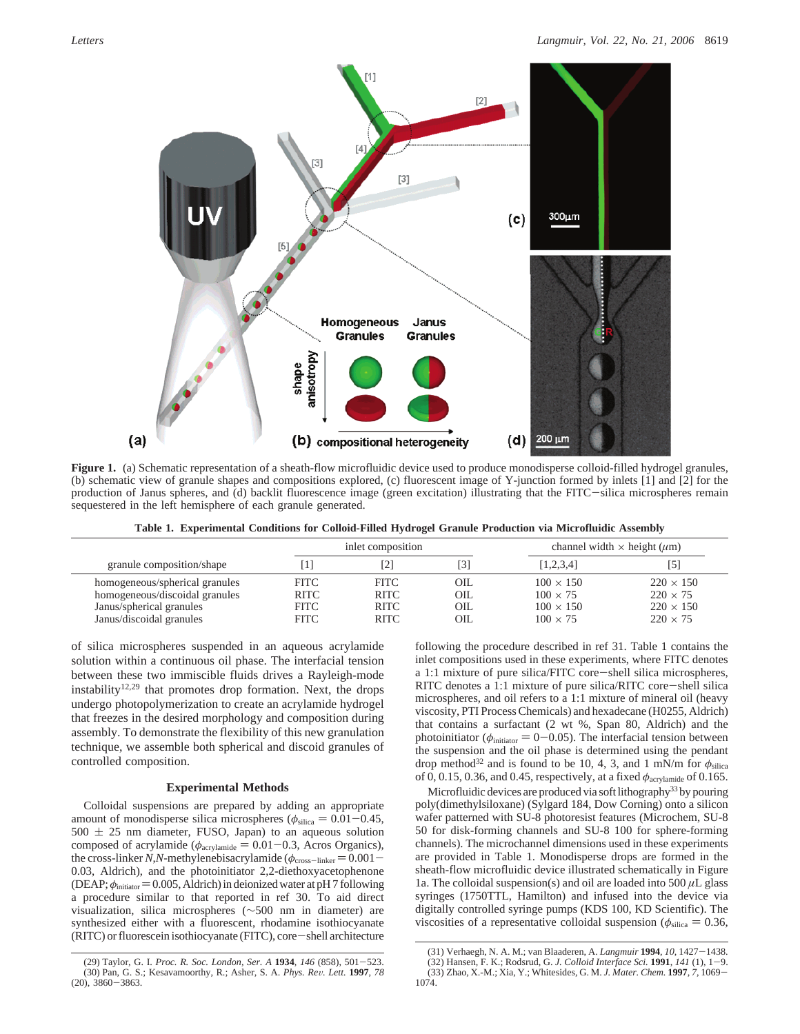

**Figure 1.** (a) Schematic representation of a sheath-flow microfluidic device used to produce monodisperse colloid-filled hydrogel granules, (b) schematic view of granule shapes and compositions explored, (c) fluorescent image of Y-junction formed by inlets [1] and [2] for the production of Janus spheres, and (d) backlit fluorescence image (green excitation) illustrating that the FITC-silica microspheres remain sequestered in the left hemisphere of each granule generated.

**Table 1. Experimental Conditions for Colloid-Filled Hydrogel Granule Production via Microfluidic Assembly**

|                                                                                                                          | inlet composition                                        |                                                          |                            | channel width $\times$ height ( $\mu$ m)                                   |                                                                            |
|--------------------------------------------------------------------------------------------------------------------------|----------------------------------------------------------|----------------------------------------------------------|----------------------------|----------------------------------------------------------------------------|----------------------------------------------------------------------------|
| granule composition/shape                                                                                                |                                                          | $\overline{2}$                                           |                            | [1,2,3,4]                                                                  |                                                                            |
| homogeneous/spherical granules<br>homogeneous/discoidal granules<br>Janus/spherical granules<br>Janus/discoidal granules | <b>FITC</b><br><b>RITC</b><br><b>FITC</b><br><b>FITC</b> | <b>FITC</b><br><b>RITC</b><br><b>RITC</b><br><b>RITC</b> | OIL.<br>OIL<br>OIL<br>OIL. | $100 \times 150$<br>$100 \times 75$<br>$100 \times 150$<br>$100 \times 75$ | $220 \times 150$<br>$220 \times 75$<br>$220 \times 150$<br>$220 \times 75$ |

of silica microspheres suspended in an aqueous acrylamide solution within a continuous oil phase. The interfacial tension between these two immiscible fluids drives a Rayleigh-mode instability<sup>12,29</sup> that promotes drop formation. Next, the drops undergo photopolymerization to create an acrylamide hydrogel that freezes in the desired morphology and composition during assembly. To demonstrate the flexibility of this new granulation technique, we assemble both spherical and discoid granules of controlled composition.

# **Experimental Methods**

Colloidal suspensions are prepared by adding an appropriate amount of monodisperse silica microspheres ( $\phi_{\text{silica}} = 0.01 - 0.45$ ,  $500 \pm 25$  nm diameter, FUSO, Japan) to an aqueous solution composed of acrylamide ( $φ$ <sub>acrylamide</sub> = 0.01-0.3, Acros Organics), the cross-linker *N*,*N*-methylenebisacrylamide ( $\phi$ <sub>cross-linker</sub> = 0.001 – 0.03, Aldrich), and the photoinitiator 2,2-diethoxyacetophenone (DEAP;  $\phi_{initiator}$  = 0.005, Aldrich) in deionized water at pH 7 following a procedure similar to that reported in ref 30. To aid direct visualization, silica microspheres (∼500 nm in diameter) are synthesized either with a fluorescent, rhodamine isothiocyanate (RITC) or fluorescein isothiocyanate (FITC), core-shell architecture following the procedure described in ref 31. Table 1 contains the inlet compositions used in these experiments, where FITC denotes a 1:1 mixture of pure silica/FITC core-shell silica microspheres, RITC denotes a 1:1 mixture of pure silica/RITC core-shell silica microspheres, and oil refers to a 1:1 mixture of mineral oil (heavy viscosity, PTI Process Chemicals) and hexadecane (H0255, Aldrich) that contains a surfactant (2 wt %, Span 80, Aldrich) and the photoinitiator ( $\phi$ <sub>initiator</sub> = 0-0.05). The interfacial tension between the suspension and the oil phase is determined using the pendant drop method<sup>32</sup> and is found to be 10, 4, 3, and 1 mN/m for  $\phi_{\text{silica}}$ of 0, 0.15, 0.36, and 0.45, respectively, at a fixed *φ*acrylamide of 0.165.

Microfluidic devices are produced via soft lithography<sup>33</sup> by pouring poly(dimethylsiloxane) (Sylgard 184, Dow Corning) onto a silicon wafer patterned with SU-8 photoresist features (Microchem, SU-8 50 for disk-forming channels and SU-8 100 for sphere-forming channels). The microchannel dimensions used in these experiments are provided in Table 1. Monodisperse drops are formed in the sheath-flow microfluidic device illustrated schematically in Figure 1a. The colloidal suspension(s) and oil are loaded into  $500 \mu L$  glass syringes (1750TTL, Hamilton) and infused into the device via digitally controlled syringe pumps (KDS 100, KD Scientific). The viscosities of a representative colloidal suspension ( $\phi_{\text{silica}} = 0.36$ ,

<sup>(29)</sup> Taylor, G. I. *Proc. R. Soc. London, Ser. A* **<sup>1934</sup>**, *<sup>146</sup>* (858), 501-523. (30) Pan, G. S.; Kesavamoorthy, R.; Asher, S. A. *Phys. Re*V*. Lett.* **<sup>1997</sup>**, *<sup>78</sup>*  $(20), 3860 - 3863.$ 

<sup>(31)</sup> Verhaegh, N. A. M.; van Blaaderen, A. *Langmuir* **<sup>1994</sup>**, *<sup>10</sup>*, 1427-1438.

<sup>(32)</sup> Hansen, F. K.; Rodsrud, G. *J. Colloid Interface Sci.* **<sup>1991</sup>**, *<sup>141</sup>* (1), 1-9. (33) Zhao, X.-M.; Xia, Y.; Whitesides, G. M. *J. Mater. Chem.* **<sup>1997</sup>**, *<sup>7</sup>*, 1069- 1074.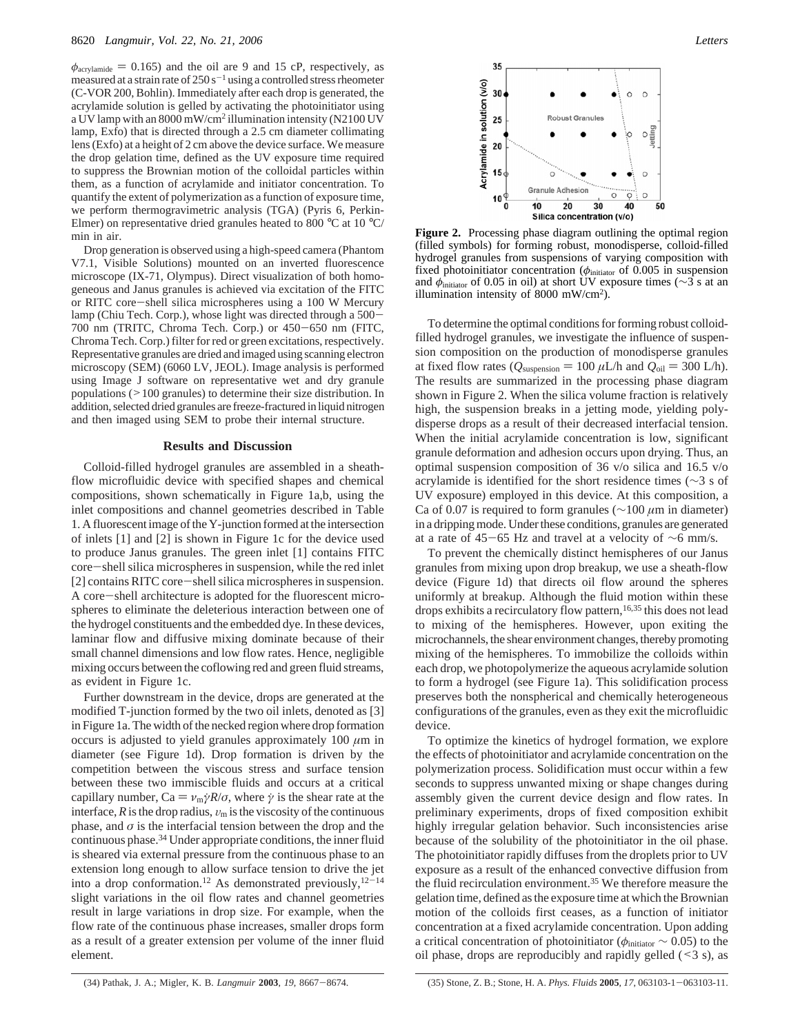$\phi$ <sub>acrylamide</sub> = 0.165) and the oil are 9 and 15 cP, respectively, as measured at a strain rate of  $250 s^{-1}$  using a controlled stress rheometer (C-VOR 200, Bohlin). Immediately after each drop is generated, the acrylamide solution is gelled by activating the photoinitiator using a UV lamp with an 8000 mW/cm2 illumination intensity (N2100 UV lamp, Exfo) that is directed through a 2.5 cm diameter collimating lens (Exfo) at a height of 2 cm above the device surface. We measure the drop gelation time, defined as the UV exposure time required to suppress the Brownian motion of the colloidal particles within them, as a function of acrylamide and initiator concentration. To quantify the extent of polymerization as a function of exposure time, we perform thermogravimetric analysis (TGA) (Pyris 6, Perkin-Elmer) on representative dried granules heated to 800 °C at 10 °C/ min in air.

Drop generation is observed using a high-speed camera (Phantom V7.1, Visible Solutions) mounted on an inverted fluorescence microscope (IX-71, Olympus). Direct visualization of both homogeneous and Janus granules is achieved via excitation of the FITC or RITC core-shell silica microspheres using a 100 W Mercury lamp (Chiu Tech. Corp.), whose light was directed through a 500- 700 nm (TRITC, Chroma Tech. Corp.) or 450-650 nm (FITC, Chroma Tech. Corp.) filter for red or green excitations, respectively. Representative granules are dried and imaged using scanning electron microscopy (SEM) (6060 LV, JEOL). Image analysis is performed using Image J software on representative wet and dry granule populations (>100 granules) to determine their size distribution. In addition, selected dried granules are freeze-fractured in liquid nitrogen and then imaged using SEM to probe their internal structure.

#### **Results and Discussion**

Colloid-filled hydrogel granules are assembled in a sheathflow microfluidic device with specified shapes and chemical compositions, shown schematically in Figure 1a,b, using the inlet compositions and channel geometries described in Table 1. A fluorescent image of the Y-junction formed at the intersection of inlets [1] and [2] is shown in Figure 1c for the device used to produce Janus granules. The green inlet [1] contains FITC core-shell silica microspheres in suspension, while the red inlet [2] contains RITC core-shell silica microspheres in suspension. A core-shell architecture is adopted for the fluorescent microspheres to eliminate the deleterious interaction between one of the hydrogel constituents and the embedded dye. In these devices, laminar flow and diffusive mixing dominate because of their small channel dimensions and low flow rates. Hence, negligible mixing occurs between the coflowing red and green fluid streams, as evident in Figure 1c.

Further downstream in the device, drops are generated at the modified T-junction formed by the two oil inlets, denoted as [3] in Figure 1a. The width of the necked region where drop formation occurs is adjusted to yield granules approximately  $100 \ \mu m$  in diameter (see Figure 1d). Drop formation is driven by the competition between the viscous stress and surface tension between these two immiscible fluids and occurs at a critical capillary number,  $Ca = v_m \dot{\gamma} R/\sigma$ , where  $\dot{\gamma}$  is the shear rate at the interface,  $R$  is the drop radius,  $v_m$  is the viscosity of the continuous phase, and  $\sigma$  is the interfacial tension between the drop and the continuous phase.34 Under appropriate conditions, the inner fluid is sheared via external pressure from the continuous phase to an extension long enough to allow surface tension to drive the jet into a drop conformation.<sup>12</sup> As demonstrated previously, $12^{-14}$ slight variations in the oil flow rates and channel geometries result in large variations in drop size. For example, when the flow rate of the continuous phase increases, smaller drops form as a result of a greater extension per volume of the inner fluid element.



**Figure 2.** Processing phase diagram outlining the optimal region (filled symbols) for forming robust, monodisperse, colloid-filled hydrogel granules from suspensions of varying composition with fixed photoinitiator concentration (*φ*initiator of 0.005 in suspension and  $\phi_{\text{initator}}$  of 0.05 in oil) at short UV exposure times ( $\sim$ 3 s at an illumination intensity of 8000 mW/cm2).

To determine the optimal conditions for forming robust colloidfilled hydrogel granules, we investigate the influence of suspension composition on the production of monodisperse granules at fixed flow rates ( $Q_{\text{suspension}} = 100 \,\mu\text{L/h}$  and  $Q_{\text{oil}} = 300 \,\text{L/h}$ ). The results are summarized in the processing phase diagram shown in Figure 2. When the silica volume fraction is relatively high, the suspension breaks in a jetting mode, yielding polydisperse drops as a result of their decreased interfacial tension. When the initial acrylamide concentration is low, significant granule deformation and adhesion occurs upon drying. Thus, an optimal suspension composition of 36 v/o silica and 16.5 v/o acrylamide is identified for the short residence times (∼3 s of UV exposure) employed in this device. At this composition, a Ca of 0.07 is required to form granules (∼100 *µ*m in diameter) in a dripping mode. Under these conditions, granules are generated at a rate of 45-65 Hz and travel at a velocity of <sup>∼</sup>6 mm/s.

To prevent the chemically distinct hemispheres of our Janus granules from mixing upon drop breakup, we use a sheath-flow device (Figure 1d) that directs oil flow around the spheres uniformly at breakup. Although the fluid motion within these drops exhibits a recirculatory flow pattern,<sup>16,35</sup> this does not lead to mixing of the hemispheres. However, upon exiting the microchannels, the shear environment changes, thereby promoting mixing of the hemispheres. To immobilize the colloids within each drop, we photopolymerize the aqueous acrylamide solution to form a hydrogel (see Figure 1a). This solidification process preserves both the nonspherical and chemically heterogeneous configurations of the granules, even as they exit the microfluidic device.

To optimize the kinetics of hydrogel formation, we explore the effects of photoinitiator and acrylamide concentration on the polymerization process. Solidification must occur within a few seconds to suppress unwanted mixing or shape changes during assembly given the current device design and flow rates. In preliminary experiments, drops of fixed composition exhibit highly irregular gelation behavior. Such inconsistencies arise because of the solubility of the photoinitiator in the oil phase. The photoinitiator rapidly diffuses from the droplets prior to UV exposure as a result of the enhanced convective diffusion from the fluid recirculation environment.35 We therefore measure the gelation time, defined as the exposure time at which the Brownian motion of the colloids first ceases, as a function of initiator concentration at a fixed acrylamide concentration. Upon adding a critical concentration of photoinitiator (*φ*initiator ∼ 0.05) to the oil phase, drops are reproducibly and rapidly gelled  $($  < 3 s), as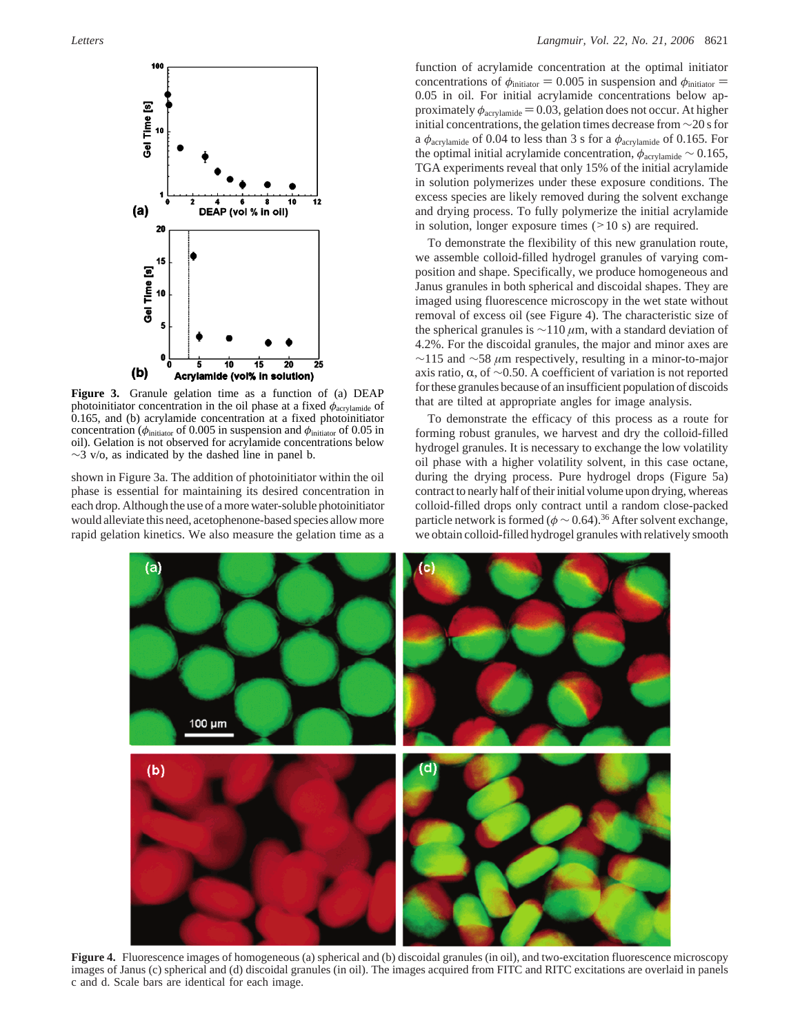

**Figure 3.** Granule gelation time as a function of (a) DEAP photoinitiator concentration in the oil phase at a fixed  $\phi_{\text{acrylamide}}$  of 0.165, and (b) acrylamide concentration at a fixed photoinitiator concentration ( $\phi$ <sub>initiator</sub> of 0.005 in suspension and  $\phi$ <sub>initiator</sub> of 0.05 in oil). Gelation is not observed for acrylamide concentrations below  $\sim$ 3 v/o, as indicated by the dashed line in panel b.

shown in Figure 3a. The addition of photoinitiator within the oil phase is essential for maintaining its desired concentration in each drop. Although the use of a more water-soluble photoinitiator would alleviate this need, acetophenone-based species allow more rapid gelation kinetics. We also measure the gelation time as a

function of acrylamide concentration at the optimal initiator concentrations of  $\phi_{\text{initiator}} = 0.005$  in suspension and  $\phi_{\text{initiator}} =$ 0.05 in oil. For initial acrylamide concentrations below approximately  $\phi_{\text{acrylamide}} = 0.03$ , gelation does not occur. At higher initial concentrations, the gelation times decrease from ∼20 s for a  $\phi$ <sub>acrylamide</sub> of 0.04 to less than 3 s for a  $\phi$ <sub>acrylamide</sub> of 0.165. For the optimal initial acrylamide concentration,  $\phi$ <sub>acrylamide</sub> ~ 0.165, TGA experiments reveal that only 15% of the initial acrylamide in solution polymerizes under these exposure conditions. The excess species are likely removed during the solvent exchange and drying process. To fully polymerize the initial acrylamide in solution, longer exposure times  $(210 s)$  are required.

To demonstrate the flexibility of this new granulation route, we assemble colloid-filled hydrogel granules of varying composition and shape. Specifically, we produce homogeneous and Janus granules in both spherical and discoidal shapes. They are imaged using fluorescence microscopy in the wet state without removal of excess oil (see Figure 4). The characteristic size of the spherical granules is ∼110 *µ*m, with a standard deviation of 4.2%. For the discoidal granules, the major and minor axes are ∼115 and ∼58 *µ*m respectively, resulting in a minor-to-major axis ratio,  $\alpha$ , of ∼0.50. A coefficient of variation is not reported for these granules because of an insufficient population of discoids that are tilted at appropriate angles for image analysis.

To demonstrate the efficacy of this process as a route for forming robust granules, we harvest and dry the colloid-filled hydrogel granules. It is necessary to exchange the low volatility oil phase with a higher volatility solvent, in this case octane, during the drying process. Pure hydrogel drops (Figure 5a) contract to nearly half of their initial volume upon drying, whereas colloid-filled drops only contract until a random close-packed particle network is formed ( $\phi \sim 0.64$ ).<sup>36</sup> After solvent exchange, we obtain colloid-filled hydrogel granules with relatively smooth



**Figure 4.** Fluorescence images of homogeneous (a) spherical and (b) discoidal granules (in oil), and two-excitation fluorescence microscopy images of Janus (c) spherical and (d) discoidal granules (in oil). The images acquired from FITC and RITC excitations are overlaid in panels c and d. Scale bars are identical for each image.